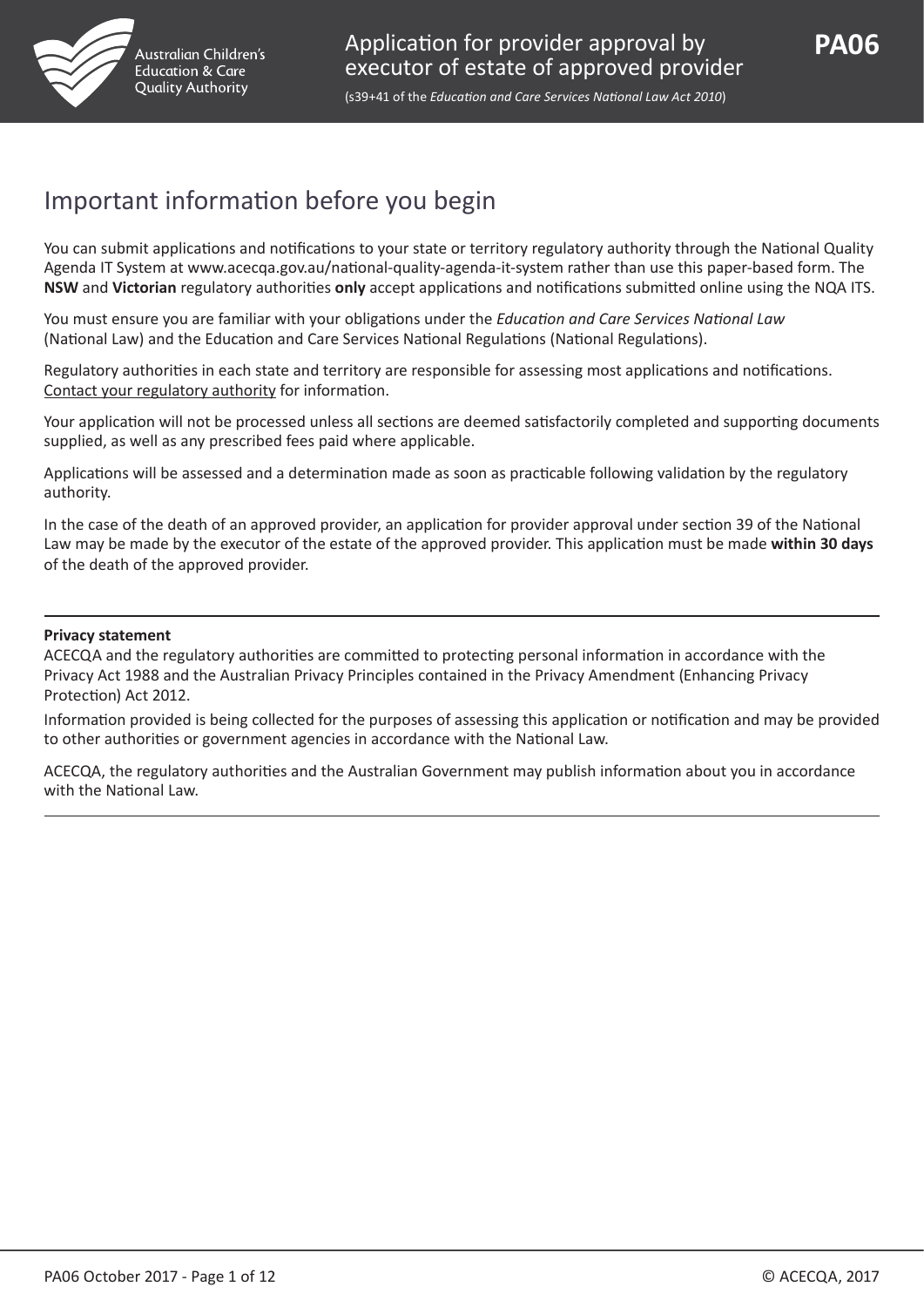

## Important information before you begin

You can submit applications and notifications to your state or territory regulatory authority through the National Quality Agenda IT System at www.acecqa.gov.au/national-quality-agenda-it-system rather than use this paper-based form. The **NSW** and **Victorian** regulatory authorities **only** accept applications and notifications submitted online using the NQA ITS.

You must ensure you are familiar with your obligations under the *Education and Care Services National Law* (National Law) and the Education and Care Services National Regulations (National Regulations).

Regulatory authorities in each state and territory are responsible for assessing most applications and notifications. [Contact your regulatory authority](http://www.acecqa.gov.au/regulatory-authorities1/contact-your-regulatory-authority) for information.

Your application will not be processed unless all sections are deemed satisfactorily completed and supporting documents supplied, as well as any prescribed fees paid where applicable.

Applications will be assessed and a determination made as soon as practicable following validation by the regulatory authority.

In the case of the death of an approved provider, an application for provider approval under section 39 of the National Law may be made by the executor of the estate of the approved provider. This application must be made **within 30 days** of the death of the approved provider.

#### **Privacy statement**

ACECQA and the regulatory authorities are committed to protecting personal information in accordance with the Privacy Act 1988 and the Australian Privacy Principles contained in the Privacy Amendment (Enhancing Privacy Protection) Act 2012.

Information provided is being collected for the purposes of assessing this application or notification and may be provided to other authorities or government agencies in accordance with the National Law.

ACECQA, the regulatory authorities and the Australian Government may publish information about you in accordance with the National Law.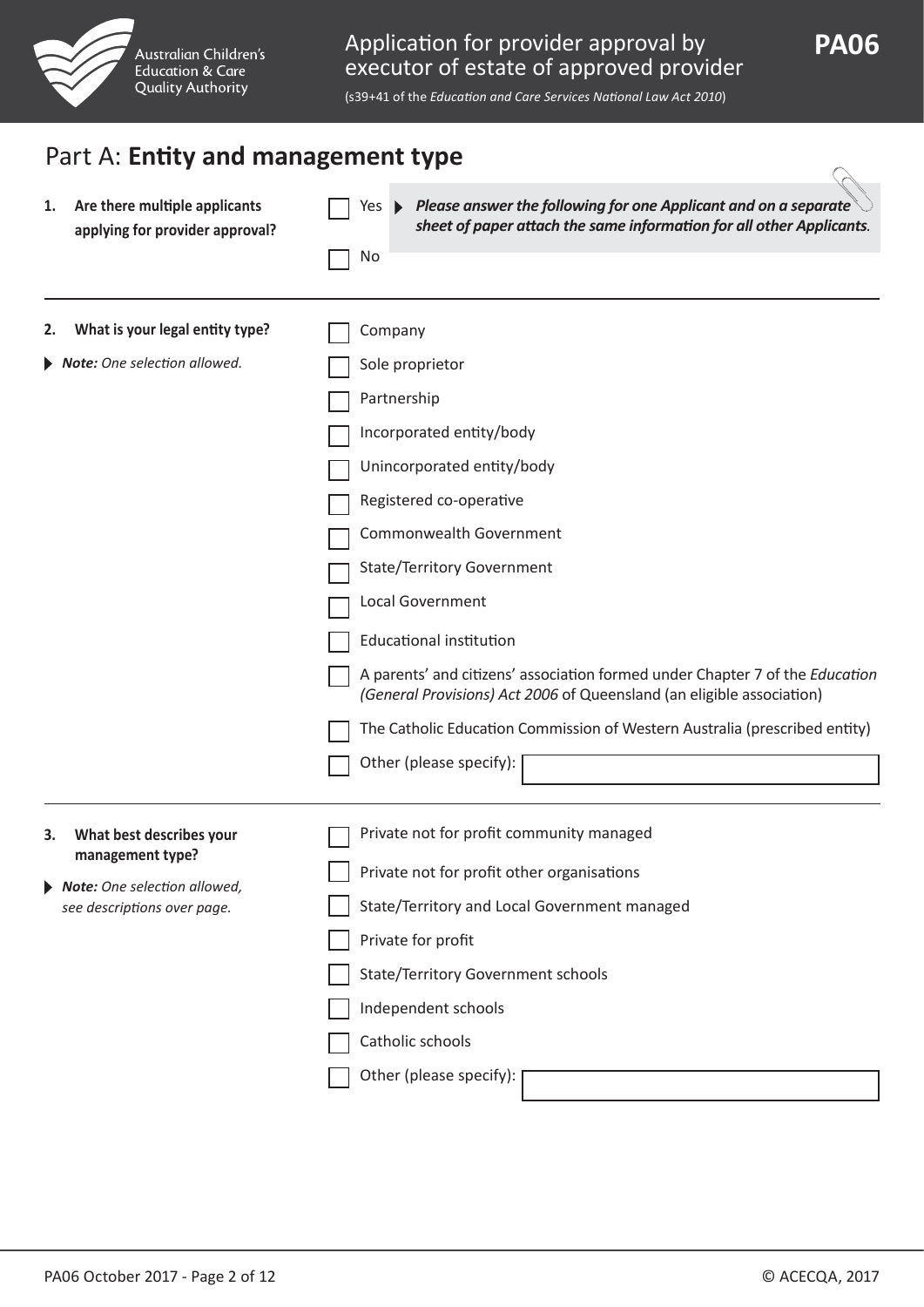

(s39+41 of the *Education and Care Services National Law Act 2010*)

| Are there multiple applicants<br>1.<br>applying for provider approval?                                                 | Please answer the following for one Applicant and on a separate<br>Yes $\blacktriangleright$<br>sheet of paper attach the same information for all other Applicants.<br>No                                                                                                                                                                                                                                                                                                        |
|------------------------------------------------------------------------------------------------------------------------|-----------------------------------------------------------------------------------------------------------------------------------------------------------------------------------------------------------------------------------------------------------------------------------------------------------------------------------------------------------------------------------------------------------------------------------------------------------------------------------|
| What is your legal entity type?<br>2.<br>Note: One selection allowed.                                                  | Company<br>Sole proprietor                                                                                                                                                                                                                                                                                                                                                                                                                                                        |
|                                                                                                                        | Partnership<br>Incorporated entity/body<br>Unincorporated entity/body<br>Registered co-operative<br>Commonwealth Government<br><b>State/Territory Government</b><br>Local Government<br>Educational institution<br>A parents' and citizens' association formed under Chapter 7 of the Education<br>(General Provisions) Act 2006 of Queensland (an eligible association)<br>The Catholic Education Commission of Western Australia (prescribed entity)<br>Other (please specify): |
| What best describes your<br>3.<br>management type?<br>Note: One selection allowed,<br>▶<br>see descriptions over page. | Private not for profit community managed<br>Private not for profit other organisations<br>State/Territory and Local Government managed<br>Private for profit<br><b>State/Territory Government schools</b><br>Independent schools<br>Catholic schools<br>Other (please specify): [                                                                                                                                                                                                 |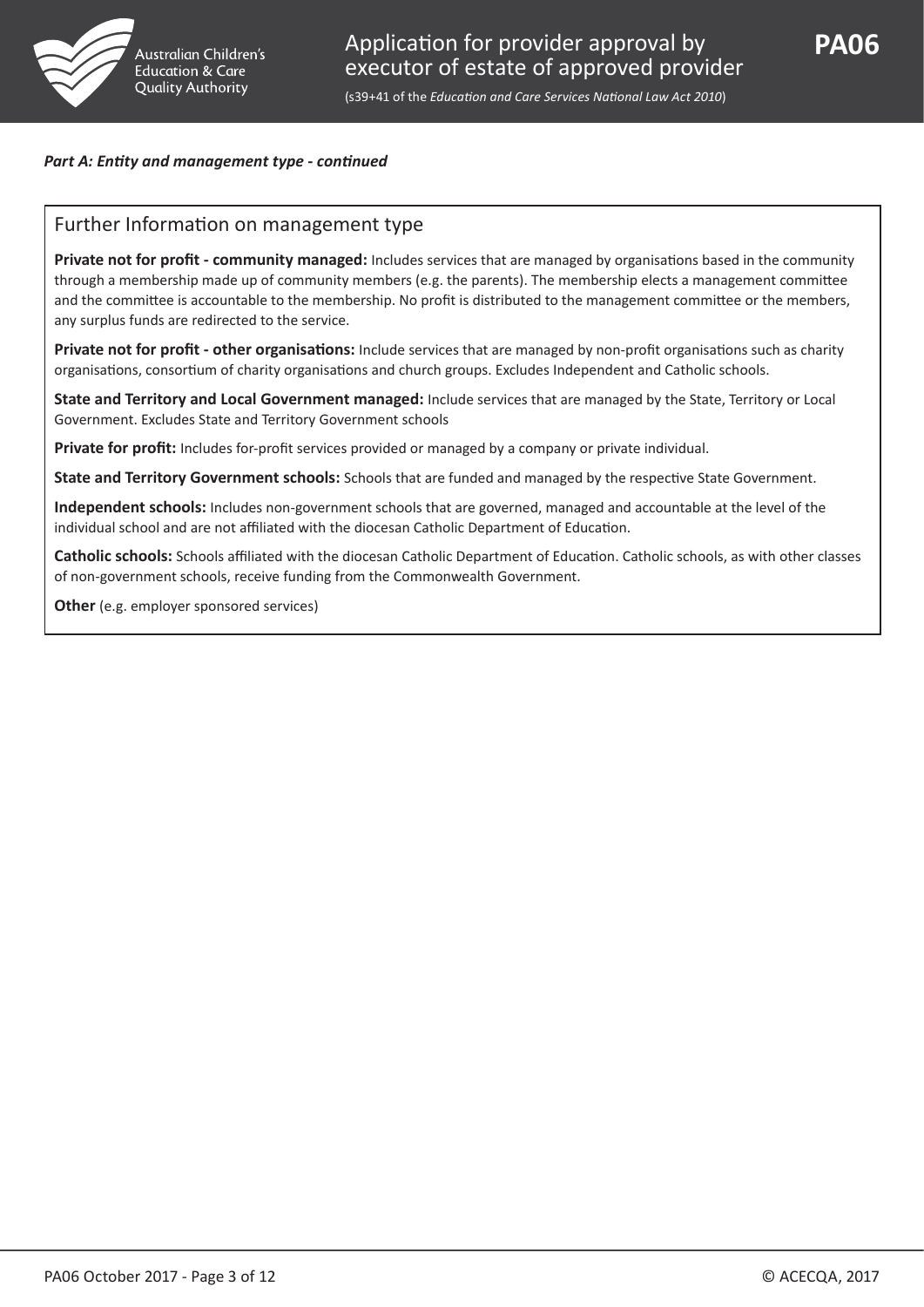

#### *Part A: Entity and management type - continued*

#### Further Information on management type

**Private not for profit - community managed:** Includes services that are managed by organisations based in the community through a membership made up of community members (e.g. the parents). The membership elects a management committee and the committee is accountable to the membership. No profit is distributed to the management committee or the members, any surplus funds are redirected to the service.

**Private not for profit - other organisations:** Include services that are managed by non-profit organisations such as charity organisations, consortium of charity organisations and church groups. Excludes Independent and Catholic schools.

**State and Territory and Local Government managed:** Include services that are managed by the State, Territory or Local Government. Excludes State and Territory Government schools

**Private for profit:** Includes for-profit services provided or managed by a company or private individual.

**State and Territory Government schools:** Schools that are funded and managed by the respective State Government.

**Independent schools:** Includes non-government schools that are governed, managed and accountable at the level of the individual school and are not affiliated with the diocesan Catholic Department of Education.

**Catholic schools:** Schools affiliated with the diocesan Catholic Department of Education. Catholic schools, as with other classes of non-government schools, receive funding from the Commonwealth Government.

**Other** (e.g. employer sponsored services)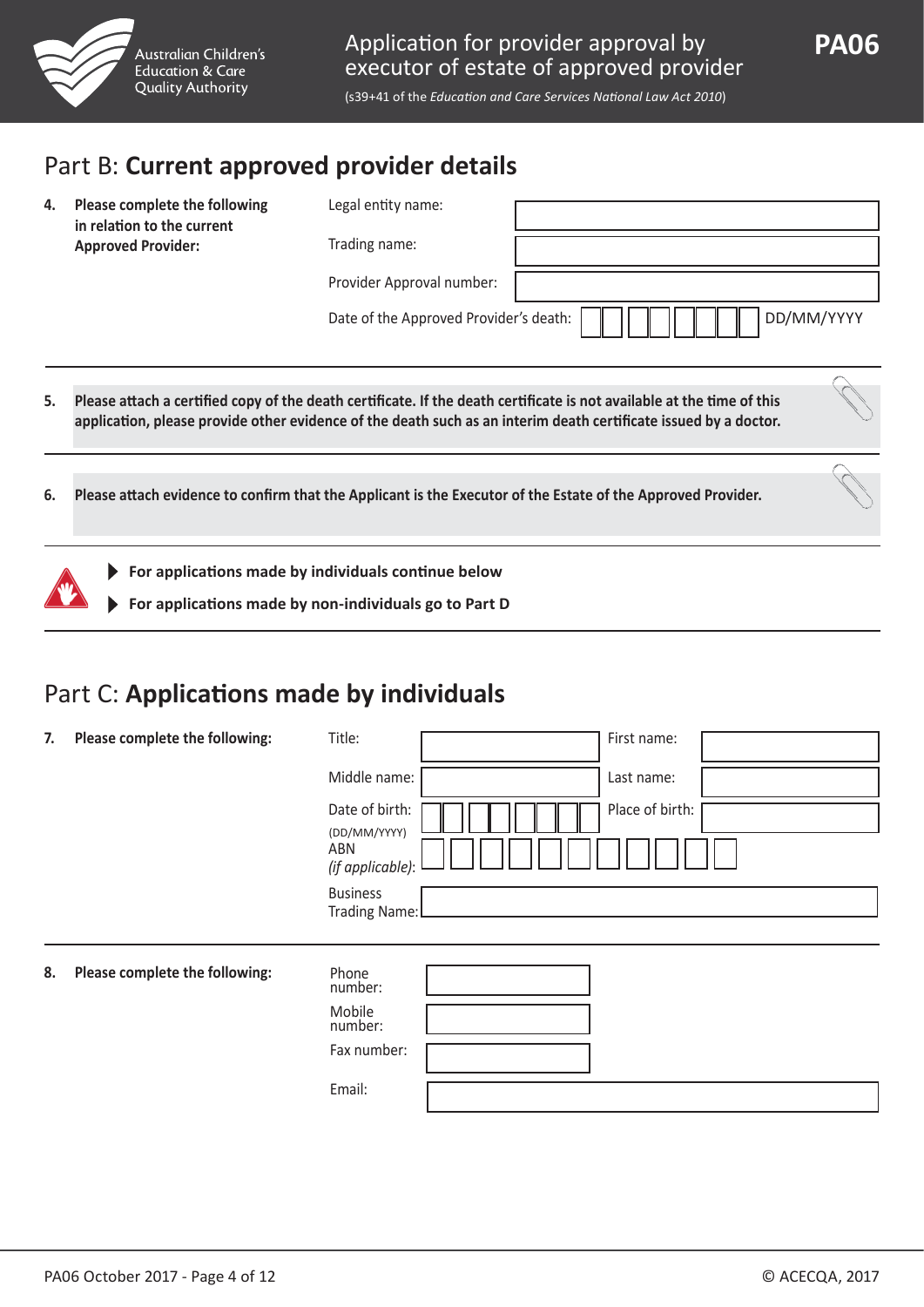

## Part B: **Current approved provider details**

| 4. | Please complete the following<br>in relation to the current               | Legal entity name:                     |                                                                                                                                                                                                                                            |
|----|---------------------------------------------------------------------------|----------------------------------------|--------------------------------------------------------------------------------------------------------------------------------------------------------------------------------------------------------------------------------------------|
|    | <b>Approved Provider:</b>                                                 | Trading name:                          |                                                                                                                                                                                                                                            |
|    |                                                                           | Provider Approval number:              |                                                                                                                                                                                                                                            |
|    |                                                                           | Date of the Approved Provider's death: | DD/MM/YYYY                                                                                                                                                                                                                                 |
| 5. |                                                                           |                                        | Please attach a certified copy of the death certificate. If the death certificate is not available at the time of this<br>application, please provide other evidence of the death such as an interim death certificate issued by a doctor. |
| 6. |                                                                           |                                        | Please attach evidence to confirm that the Applicant is the Executor of the Estate of the Approved Provider.                                                                                                                               |
|    | $\blacktriangleright$ For applications made by individuals continue below |                                        |                                                                                                                                                                                                                                            |

**For applications made by non-individuals go to Part D**

## Part C: **Applications made by individuals**

| 7. | Please complete the following: | Title:                                  | First name:     |
|----|--------------------------------|-----------------------------------------|-----------------|
|    |                                | Middle name:                            | Last name:      |
|    |                                | Date of birth:<br>(DD/MM/YYYY)          | Place of birth: |
|    |                                | ABN<br>(if applicable):                 |                 |
|    |                                | <b>Business</b><br><b>Trading Name:</b> |                 |
|    |                                |                                         |                 |
| 8. | Please complete the following: | Phone<br>number:                        |                 |
|    |                                | Mobile<br>number:                       |                 |
|    |                                | Fax number:                             |                 |
|    |                                | Email:                                  |                 |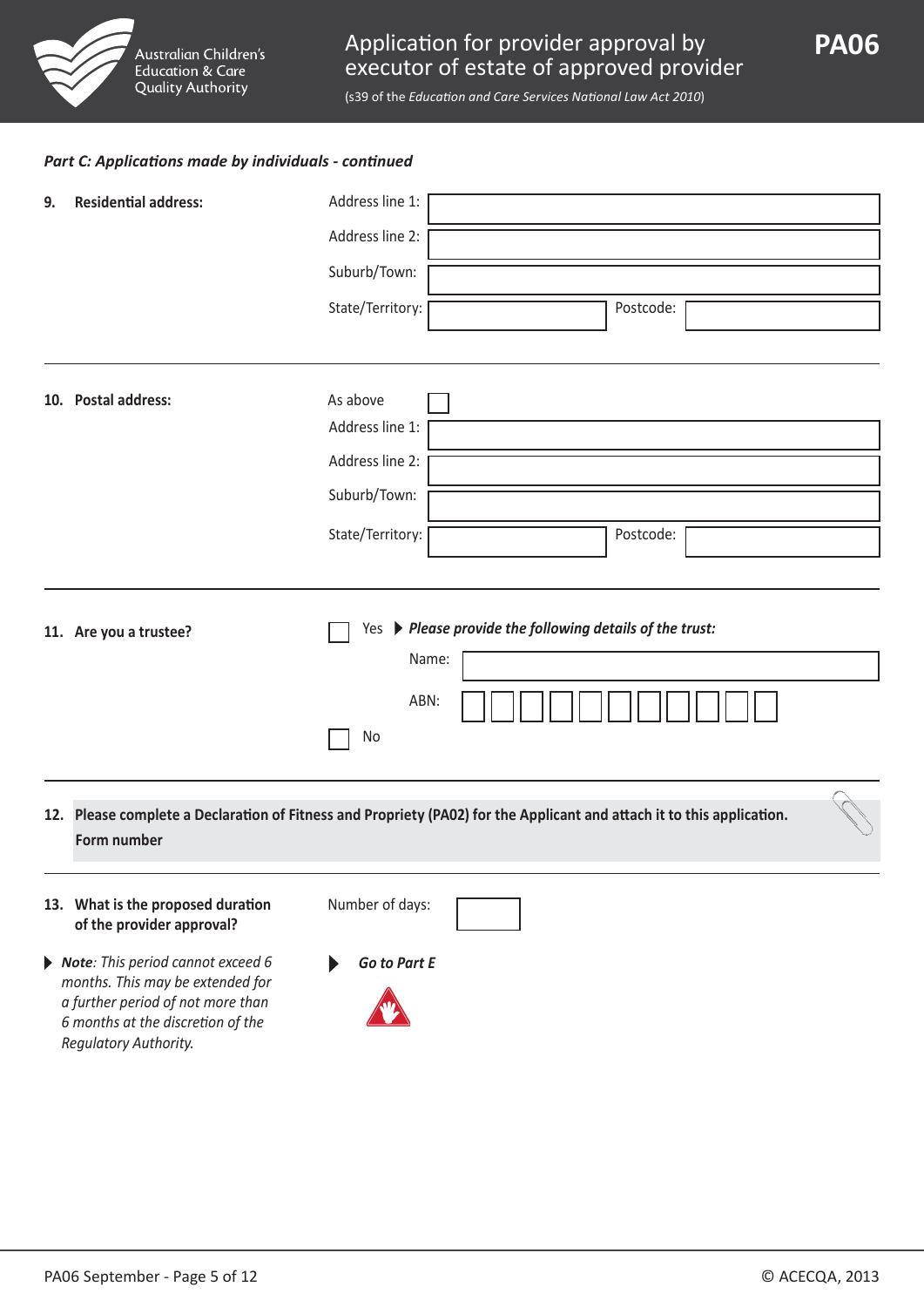

(s39 of the *Education and Care Services National Law Act 2010*)

#### *Part C: Applications made by individuals - continued*

| 9. | <b>Residential address:</b>                                    | Address line 1:                                                                                                        |
|----|----------------------------------------------------------------|------------------------------------------------------------------------------------------------------------------------|
|    |                                                                | Address line 2:                                                                                                        |
|    |                                                                | Suburb/Town:                                                                                                           |
|    |                                                                | State/Territory:<br>Postcode:                                                                                          |
|    |                                                                |                                                                                                                        |
|    | 10. Postal address:                                            | As above                                                                                                               |
|    |                                                                | Address line 1:                                                                                                        |
|    |                                                                | Address line 2:                                                                                                        |
|    |                                                                | Suburb/Town:                                                                                                           |
|    |                                                                | State/Territory:<br>Postcode:                                                                                          |
|    |                                                                |                                                                                                                        |
|    | 11. Are you a trustee?                                         | Yes > Please provide the following details of the trust:                                                               |
|    |                                                                | Name:                                                                                                                  |
|    |                                                                | ABN:                                                                                                                   |
|    |                                                                | No                                                                                                                     |
|    | Form number                                                    | 12. Please complete a Declaration of Fitness and Propriety (PA02) for the Applicant and attach it to this application. |
|    | 13. What is the proposed duration<br>of the provider approval? | Number of days:                                                                                                        |

- *Note: This period cannot exceed 6 months. This may be extended for a further period of not more than 6 months at the discretion of the Regulatory Authority.*
- *Go to Part E*

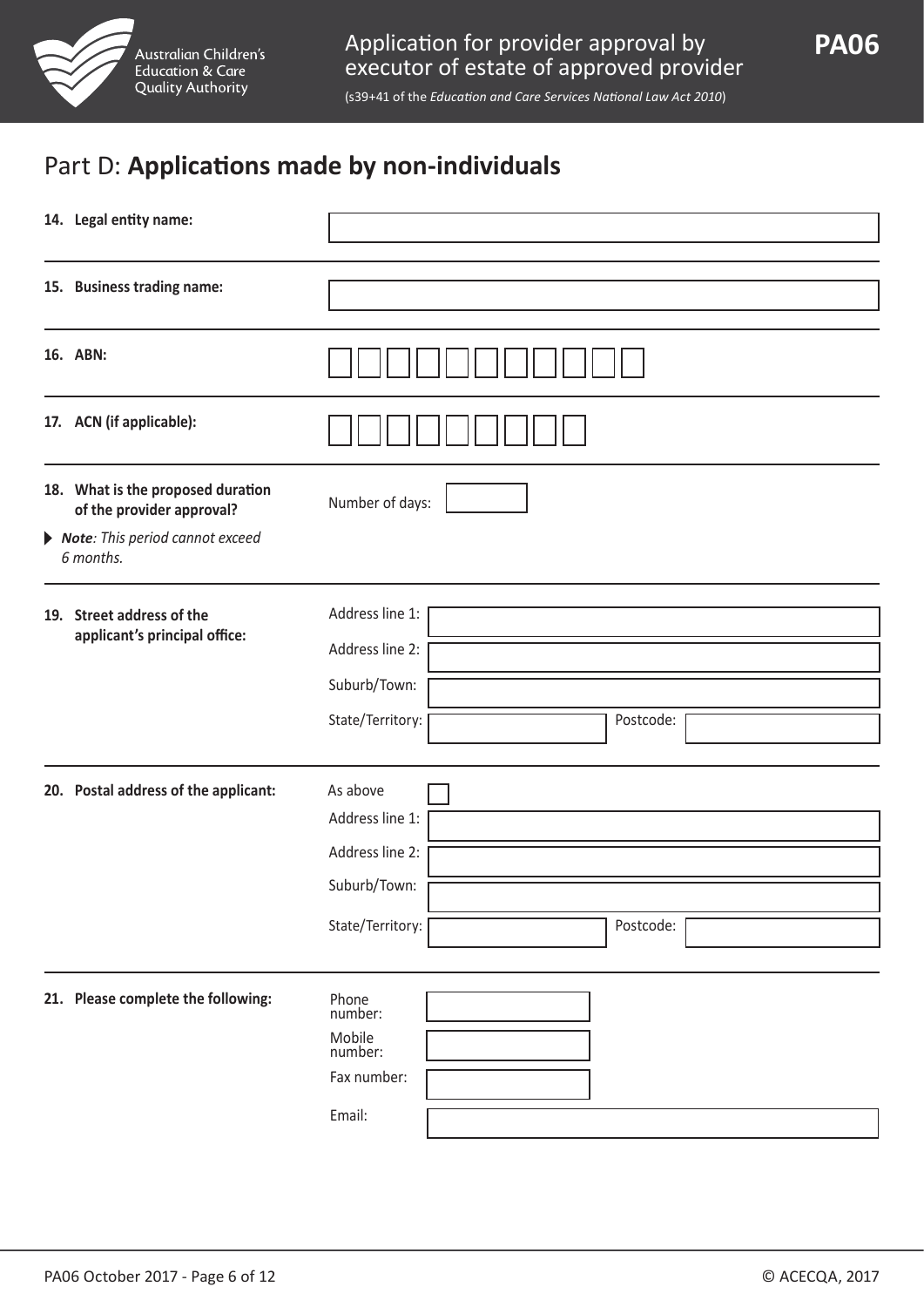

## Part D: **Applications made by non-individuals**

| 14. Legal entity name:                                         |                                                                                                 |  |  |  |  |
|----------------------------------------------------------------|-------------------------------------------------------------------------------------------------|--|--|--|--|
| 15. Business trading name:                                     |                                                                                                 |  |  |  |  |
| 16. ABN:                                                       |                                                                                                 |  |  |  |  |
| 17. ACN (if applicable):                                       |                                                                                                 |  |  |  |  |
| 18. What is the proposed duration<br>of the provider approval? | Number of days:                                                                                 |  |  |  |  |
| Note: This period cannot exceed<br>6 months.                   |                                                                                                 |  |  |  |  |
| 19. Street address of the<br>applicant's principal office:     | Address line 1:<br>Address line 2:<br>Suburb/Town:<br>State/Territory:<br>Postcode:             |  |  |  |  |
| 20. Postal address of the applicant:                           | As above<br>Address line 1:<br>Address line 2:<br>Suburb/Town:<br>Postcode:<br>State/Territory: |  |  |  |  |
| 21. Please complete the following:                             | Phone<br>number:<br>Mobile<br>number:<br>Fax number:<br>Email:                                  |  |  |  |  |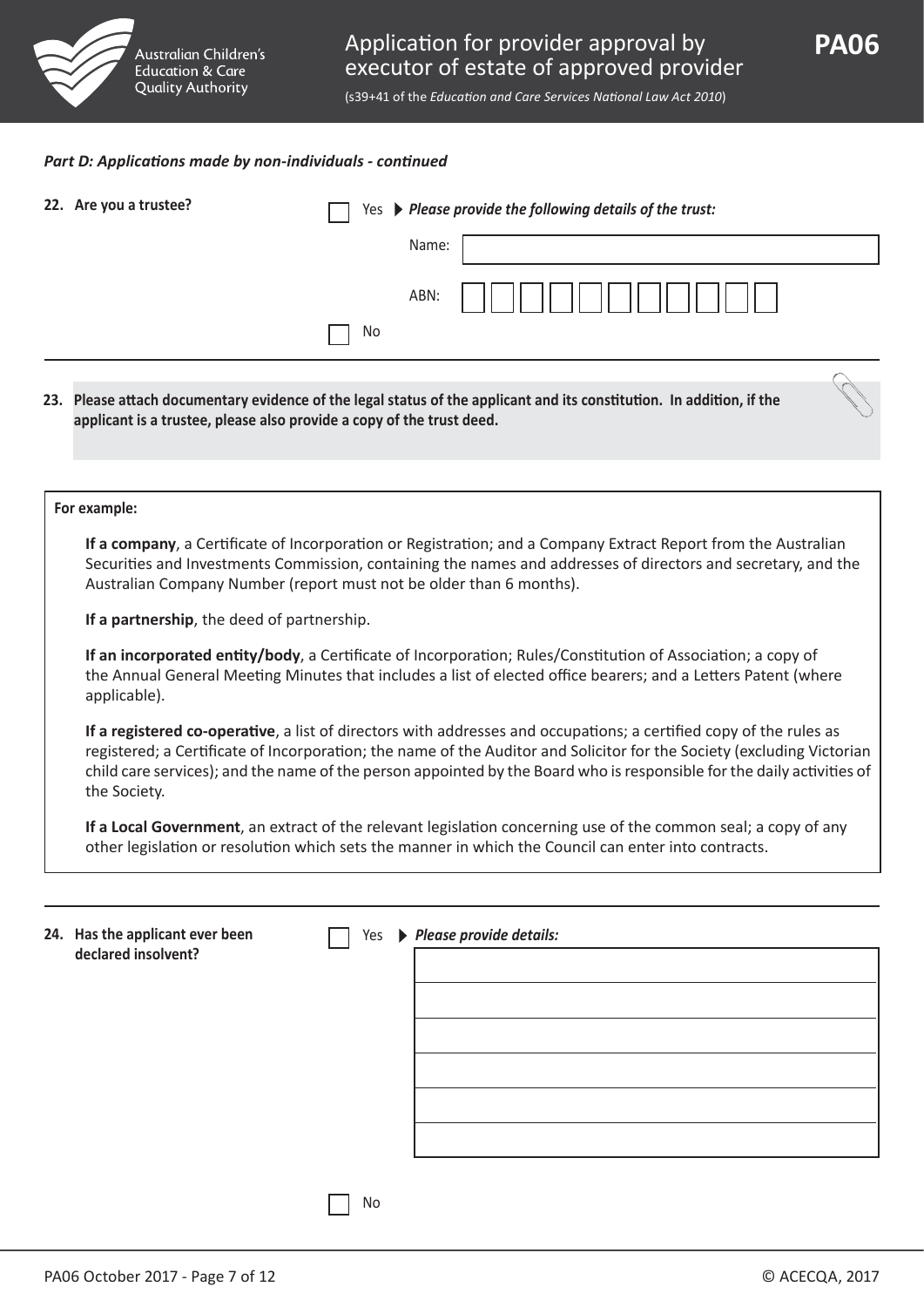

#### *Part D: Applications made by non-individuals - continued*

| 22. Are you a trustee? | Yes > Please provide the following details of the trust: |       |  |
|------------------------|----------------------------------------------------------|-------|--|
|                        |                                                          | Name: |  |
|                        |                                                          | ABN:  |  |
|                        | No                                                       |       |  |
|                        |                                                          |       |  |

**23. Please attach documentary evidence of the legal status of the applicant and its constitution. In addition, if the applicant is a trustee, please also provide a copy of the trust deed.**

#### **For example:**

 **If a company**, a Certificate of Incorporation or Registration; and a Company Extract Report from the Australian Securities and Investments Commission, containing the names and addresses of directors and secretary, and the Australian Company Number (report must not be older than 6 months).

**If a partnership**, the deed of partnership.

 **If an incorporated entity/body**, a Certificate of Incorporation; Rules/Constitution of Association; a copy of the Annual General Meeting Minutes that includes a list of elected office bearers; and a Letters Patent (where applicable).

 **If a registered co-operative**, a list of directors with addresses and occupations; a certified copy of the rules as registered; a Certificate of Incorporation; the name of the Auditor and Solicitor for the Society (excluding Victorian child care services); and the name of the person appointed by the Board who is responsible for the daily activities of the Society.

 **If a Local Government**, an extract of the relevant legislation concerning use of the common seal; a copy of any other legislation or resolution which sets the manner in which the Council can enter into contracts.

| 24. Has the applicant ever been<br>declared insolvent? | Yes           | ▶ Please provide details: |
|--------------------------------------------------------|---------------|---------------------------|
|                                                        |               |                           |
|                                                        |               |                           |
|                                                        |               |                           |
|                                                        |               |                           |
|                                                        |               |                           |
|                                                        |               |                           |
|                                                        |               |                           |
|                                                        |               |                           |
|                                                        |               |                           |
|                                                        |               |                           |
|                                                        |               |                           |
|                                                        |               |                           |
|                                                        | $\sim$ $\sim$ |                           |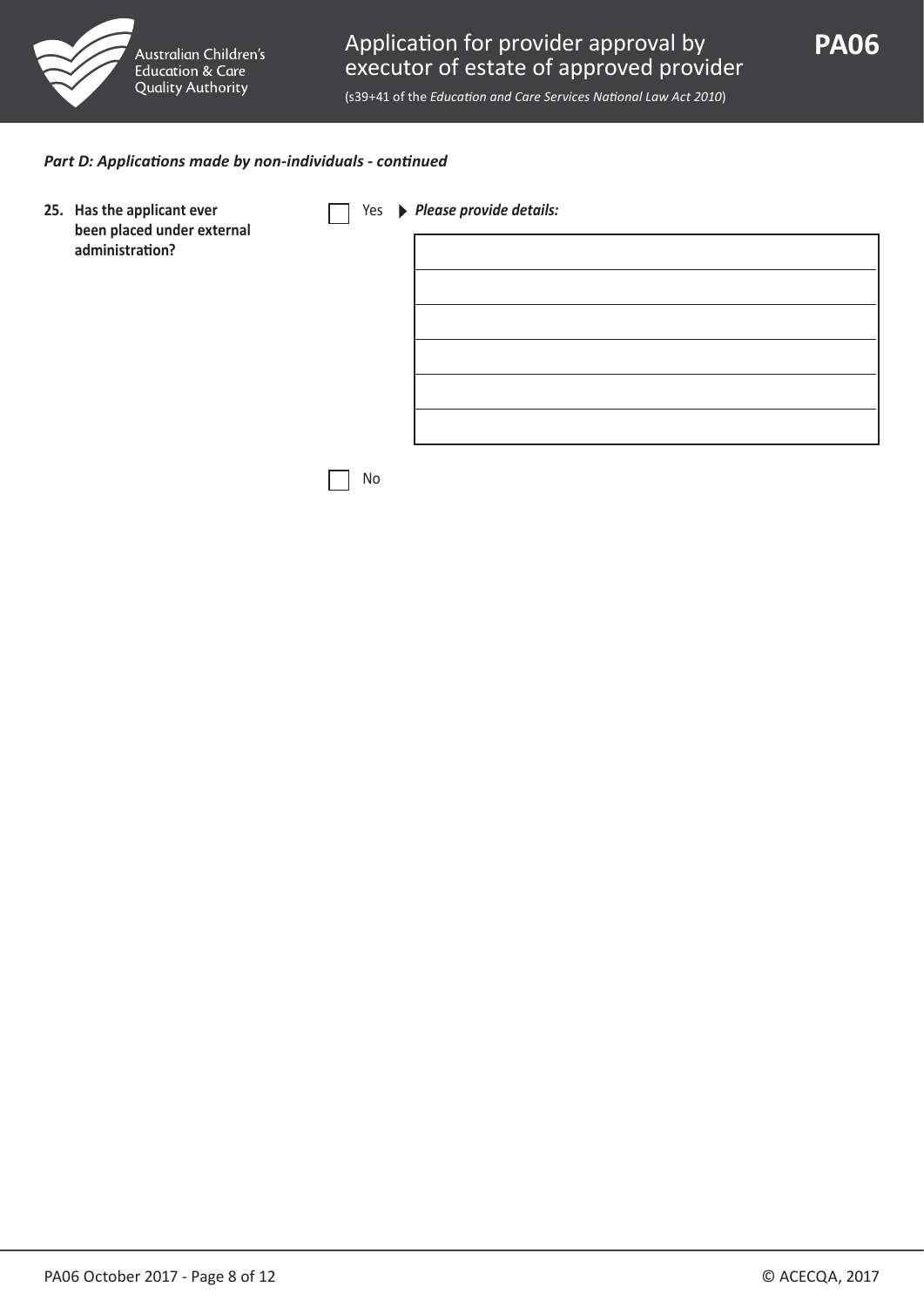

(s39+41 of the *Education and Care Services National Law Act 2010*)

#### *Part D: Applications made by non-individuals - continued*

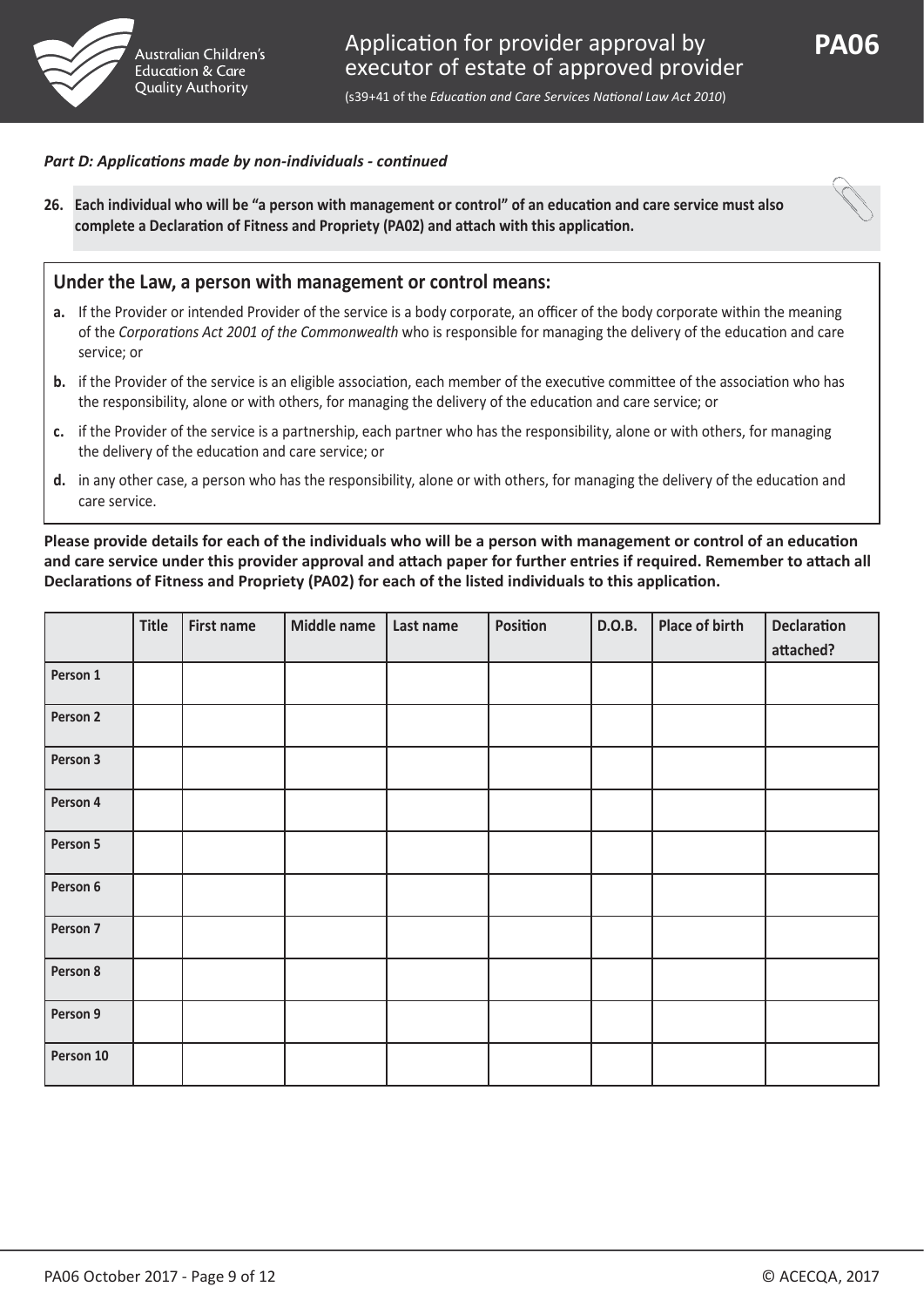

**PA06**

(s39+41 of the *Education and Care Services National Law Act 2010*)

#### *Part D: Applications made by non-individuals - continued*

**26. Each individual who will be "a person with management or control" of an education and care service must also complete a Declaration of Fitness and Propriety (PA02) and attach with this application.**



#### **Under the Law, a person with management or control means:**

- **a.** If the Provider or intended Provider of the service is a body corporate, an officer of the body corporate within the meaning of the *Corporations Act 2001 of the Commonwealth* who is responsible for managing the delivery of the education and care service; or
- **b.** if the Provider of the service is an eligible association, each member of the executive committee of the association who has the responsibility, alone or with others, for managing the delivery of the education and care service; or
- **c.** if the Provider of the service is a partnership, each partner who has the responsibility, alone or with others, for managing the delivery of the education and care service; or
- **d.** in any other case, a person who has the responsibility, alone or with others, for managing the delivery of the education and care service.

**Please provide details for each of the individuals who will be a person with management or control of an education and care service under this provider approval and attach paper for further entries if required. Remember to attach all Declarations of Fitness and Propriety (PA02) for each of the listed individuals to this application.**

|           | Title | <b>First name</b> | Middle name | Last name | Position | D.O.B. | Place of birth | <b>Declaration</b><br>attached? |
|-----------|-------|-------------------|-------------|-----------|----------|--------|----------------|---------------------------------|
| Person 1  |       |                   |             |           |          |        |                |                                 |
| Person 2  |       |                   |             |           |          |        |                |                                 |
| Person 3  |       |                   |             |           |          |        |                |                                 |
| Person 4  |       |                   |             |           |          |        |                |                                 |
| Person 5  |       |                   |             |           |          |        |                |                                 |
| Person 6  |       |                   |             |           |          |        |                |                                 |
| Person 7  |       |                   |             |           |          |        |                |                                 |
| Person 8  |       |                   |             |           |          |        |                |                                 |
| Person 9  |       |                   |             |           |          |        |                |                                 |
| Person 10 |       |                   |             |           |          |        |                |                                 |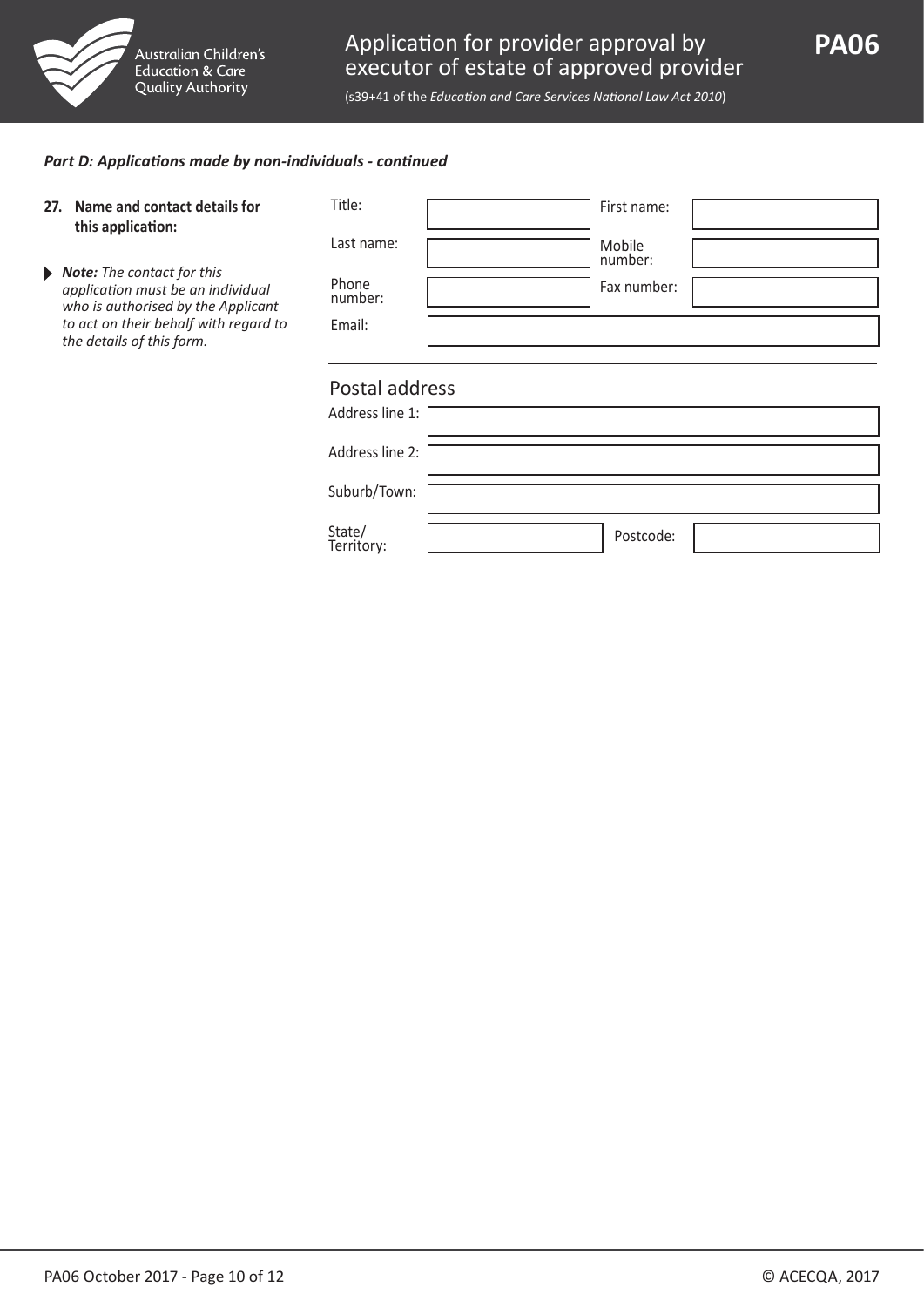

(s39+41 of the *Education and Care Services National Law Act 2010*)

#### *Part D: Applications made by non-individuals - continued*

| Name and contact details for<br>27.<br>this application:                                                                      | Title:               | First name:       |
|-------------------------------------------------------------------------------------------------------------------------------|----------------------|-------------------|
|                                                                                                                               | Last name:           | Mobile<br>number: |
| $\triangleright$ <b>Note:</b> The contact for this<br>application must be an individual<br>who is authorised by the Applicant | Phone<br>number:     | Fax number:       |
| to act on their behalf with regard to<br>the details of this form.                                                            | Email:               |                   |
|                                                                                                                               |                      |                   |
|                                                                                                                               | Postal address       |                   |
|                                                                                                                               | Address line 1:      |                   |
|                                                                                                                               | Address line 2:      |                   |
|                                                                                                                               | Suburb/Town:         |                   |
|                                                                                                                               | State/<br>Territory: | Postcode:         |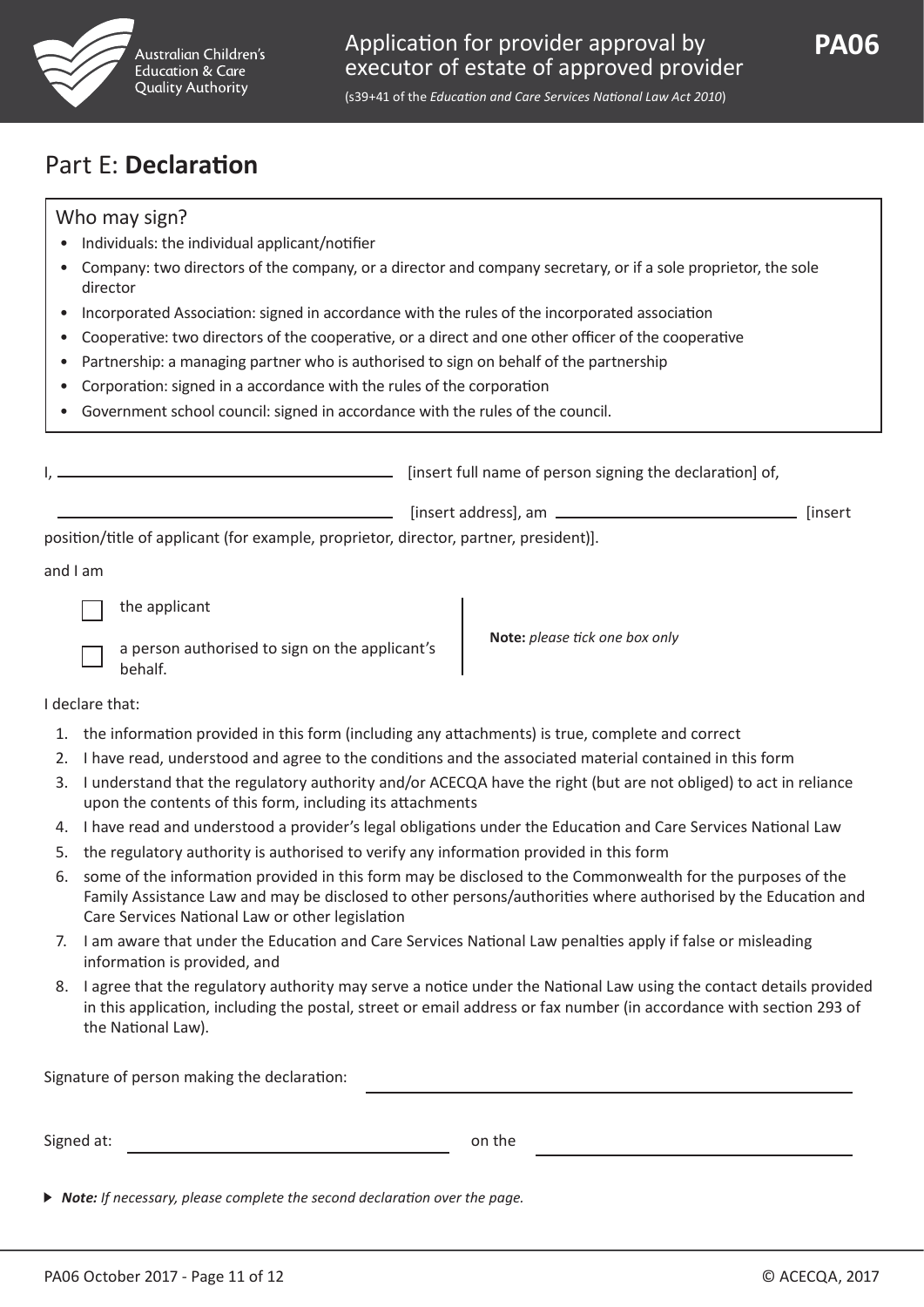

(s39+41 of the *Education and Care Services National Law Act 2010*)

## Part E: **Declaration**

### Who may sign?

- Individuals: the individual applicant/notifier
- Company: two directors of the company, or a director and company secretary, or if a sole proprietor, the sole director
- Incorporated Association: signed in accordance with the rules of the incorporated association
- Cooperative: two directors of the cooperative, or a direct and one other officer of the cooperative
- Partnership: a managing partner who is authorised to sign on behalf of the partnership
- Corporation: signed in a accordance with the rules of the corporation
- Government school council: signed in accordance with the rules of the council.

|                                                                                       | [insert full name of person signing the declaration] of, |         |
|---------------------------------------------------------------------------------------|----------------------------------------------------------|---------|
|                                                                                       |                                                          | linsert |
| position/title of applicant (for example, proprietor, director, partner, president)]. |                                                          |         |
| ممرم الممرم                                                                           |                                                          |         |

and I am

the applicant

| a person authorised to sign on the applicant's |
|------------------------------------------------|
| behalf.                                        |

**Note:** *please tick one box only*

I declare that:

- 1. the information provided in this form (including any attachments) is true, complete and correct
- 2. I have read, understood and agree to the conditions and the associated material contained in this form
- 3. I understand that the regulatory authority and/or ACECQA have the right (but are not obliged) to act in reliance upon the contents of this form, including its attachments
- 4. I have read and understood a provider's legal obligations under the Education and Care Services National Law
- 5. the regulatory authority is authorised to verify any information provided in this form
- 6. some of the information provided in this form may be disclosed to the Commonwealth for the purposes of the Family Assistance Law and may be disclosed to other persons/authorities where authorised by the Education and Care Services National Law or other legislation
- 7. I am aware that under the Education and Care Services National Law penalties apply if false or misleading information is provided, and
- 8. I agree that the regulatory authority may serve a notice under the National Law using the contact details provided in this application, including the postal, street or email address or fax number (in accordance with section 293 of the National Law).

| Signature of person making the declaration: |        |  |
|---------------------------------------------|--------|--|
|                                             |        |  |
| Signed at:                                  | on the |  |

*Note: If necessary, please complete the second declaration over the page.*